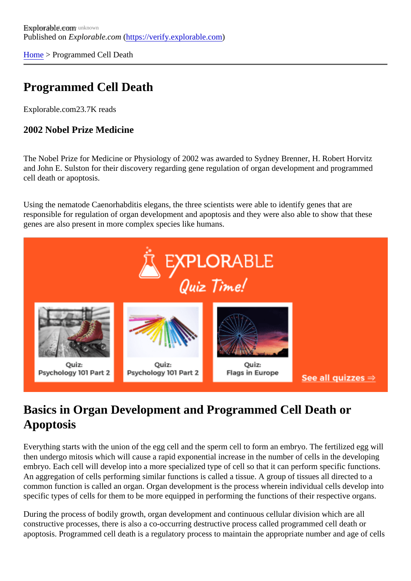[Home](https://verify.explorable.com/)> Programmed Cell Death

## Programmed Cell Death

Explorable.com23.7K reads

2002 Nobel Prize Medicine

The Nobel Prize for Medicine or Physiology of 2002 was awarded to Sydney Brenner, H. Robert Horvitz and John E. Sulston for their discovery regarding gene regulation of organ development and programmed cell death or apoptosis.

Using the nematode Caenorhabditis elegans, the three scientists were able to identify genes that are responsible for regulation of organ development and apoptosis and they were also able to show that these genes are also present in more complex species like humans.

## Basics in Organ Development and Programmed Cell Death or Apoptosis

Everything starts with the union of the egg cell and the sperm cell to form an embryo. The fertilized egg wi then undergo mitosis which will cause a rapid exponential increase in the number of cells in the developing embryo. Each cell will develop into a more specialized type of cell so that it can perform specific functions. An aggregation of cells performing similar functions is called a tissue. A group of tissues all directed to a common function is called an organ. Organ development is the process wherein individual cells develop in specific types of cells for them to be more equipped in performing the functions of their respective organs.

During the process of bodily growth, organ development and continuous cellular division which are all constructive processes, there is also a co-occurring destructive process called programmed cell death or apoptosis. Programmed cell death is a regulatory process to maintain the appropriate number and age of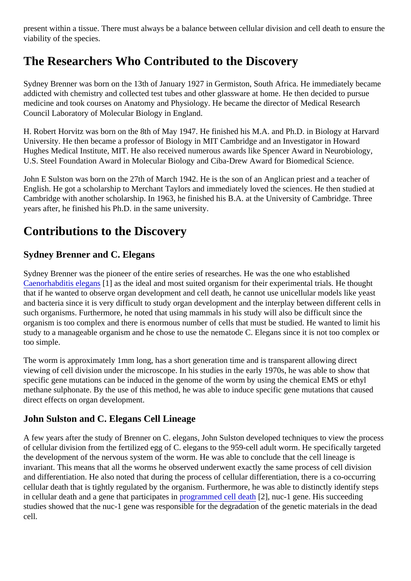present within a tissue. There must always be a balance between cellular division and cell death to ensure viability of the species.

# The Researchers Who Contributed to the Discovery

Sydney Brenner was born on the 13th of January 1927 in Germiston, South Africa. He immediately became addicted with chemistry and collected test tubes and other glassware at home. He then decided to pursue medicine and took courses on Anatomy and Physiology. He became the director of Medical Research Council Laboratory of Molecular Biology in England.

H. Robert Horvitz was born on the 8th of May 1947. He finished his M.A. and Ph.D. in Biology at Harvard University. He then became a professor of Biology in MIT Cambridge and an Investigator in Howard Hughes Medical Institute, MIT. He also received numerous awards like Spencer Award in Neurobiology, U.S. Steel Foundation Award in Molecular Biology and Ciba-Drew Award for Biomedical Science.

John E Sulston was born on the 27th of March 1942. He is the son of an Anglican priest and a teacher of English. He got a scholarship to Merchant Taylors and immediately loved the sciences. He then studied at Cambridge with another scholarship. In 1963, he finished his B.A. at the University of Cambridge. Three years after, he finished his Ph.D. in the same university.

### Contributions to the Discovery

### Sydney Brenner and C. Elegans

Sydney Brenner was the pioneer of the entire series of researches. He was the one who established [Caenorhabditis elega](http://sandwalk.blogspot.com/2008/09/nobel-laureates-sydney-brenner-robert)ns as the ideal and most suited organism for their experimental trials. He thought that if he wanted to observe organ development and cell death, he cannot use unicellular models like yeas and bacteria since it is very difficult to study organ development and the interplay between different cells in such organisms. Furthermore, he noted that using mammals in his study will also be difficult since the organism is too complex and there is enormous number of cells that must be studied. He wanted to limit h study to a manageable organism and he chose to use the nematode C. Elegans since it is not too compler too simple.

The worm is approximately 1mm long, has a short generation time and is transparent allowing direct viewing of cell division under the microscope. In his studies in the early 1970s, he was able to show that specific gene mutations can be induced in the genome of the worm by using the chemical EMS or ethyl methane sulphonate. By the use of this method, he was able to induce specific gene mutations that cause direct effects on organ development.

#### John Sulston and C. Elegans Cell Lineage

A few years after the study of Brenner on C. elegans, John Sulston developed techniques to view the proce of cellular division from the fertilized egg of C. elegans to the 959-cell adult worm. He specifically targeted the development of the nervous system of the worm. He was able to conclude that the cell lineage is invariant. This means that all the worms he observed underwent exactly the same process of cell division and differentiation. He also noted that during the process of cellular differentiation, there is a co-occurring cellular death that is tightly regulated by the organism. Furthermore, he was able to distinctly identify steps in cellular death and a gene that participat[es in programmed cell dea](http://en.wikipedia.org/wiki/Programmed_cell_death)t<sup>ha</sup>l, nuc-1 gene. His succeeding studies showed that the nuc-1 gene was responsible for the degradation of the genetic materials in the dead cell.